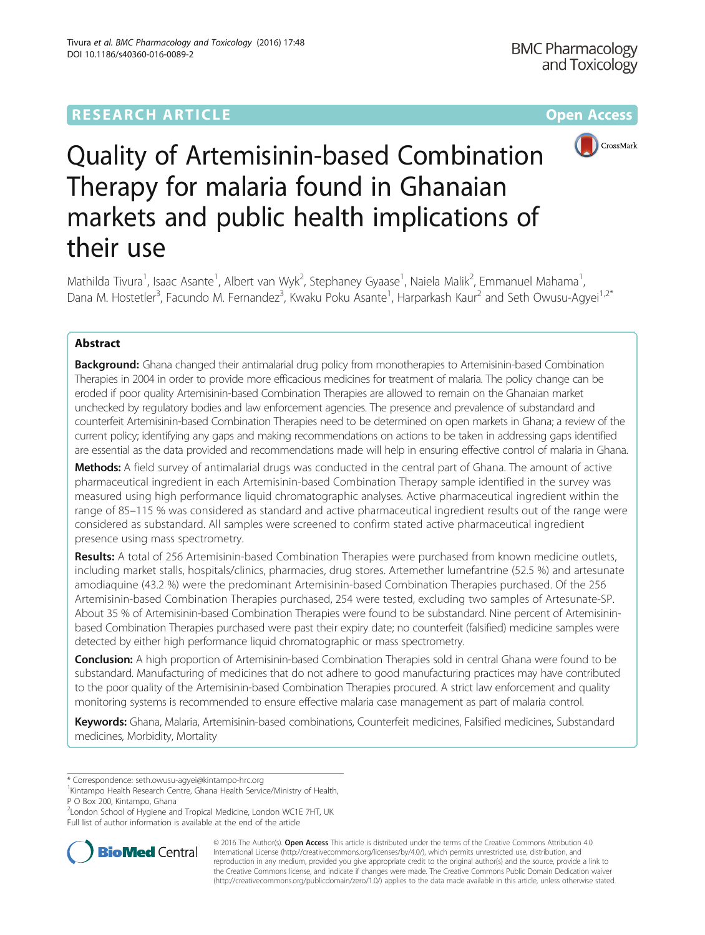

# Quality of Artemisinin-based Combination Therapy for malaria found in Ghanaian markets and public health implications of their use

Mathilda Tivura<sup>1</sup>, Isaac Asante<sup>1</sup>, Albert van Wyk<sup>2</sup>, Stephaney Gyaase<sup>1</sup>, Naiela Malik<sup>2</sup>, Emmanuel Mahama<sup>1</sup> , Dana M. Hostetler<sup>3</sup>, Facundo M. Fernandez<sup>3</sup>, Kwaku Poku Asante<sup>1</sup>, Harparkash Kaur<sup>2</sup> and Seth Owusu-Agyei<sup>1,2\*</sup>

# Abstract

**Background:** Ghana changed their antimalarial drug policy from monotherapies to Artemisinin-based Combination Therapies in 2004 in order to provide more efficacious medicines for treatment of malaria. The policy change can be eroded if poor quality Artemisinin-based Combination Therapies are allowed to remain on the Ghanaian market unchecked by regulatory bodies and law enforcement agencies. The presence and prevalence of substandard and counterfeit Artemisinin-based Combination Therapies need to be determined on open markets in Ghana; a review of the current policy; identifying any gaps and making recommendations on actions to be taken in addressing gaps identified are essential as the data provided and recommendations made will help in ensuring effective control of malaria in Ghana.

Methods: A field survey of antimalarial drugs was conducted in the central part of Ghana. The amount of active pharmaceutical ingredient in each Artemisinin-based Combination Therapy sample identified in the survey was measured using high performance liquid chromatographic analyses. Active pharmaceutical ingredient within the range of 85–115 % was considered as standard and active pharmaceutical ingredient results out of the range were considered as substandard. All samples were screened to confirm stated active pharmaceutical ingredient presence using mass spectrometry.

Results: A total of 256 Artemisinin-based Combination Therapies were purchased from known medicine outlets, including market stalls, hospitals/clinics, pharmacies, drug stores. Artemether lumefantrine (52.5 %) and artesunate amodiaquine (43.2 %) were the predominant Artemisinin-based Combination Therapies purchased. Of the 256 Artemisinin-based Combination Therapies purchased, 254 were tested, excluding two samples of Artesunate-SP. About 35 % of Artemisinin-based Combination Therapies were found to be substandard. Nine percent of Artemisininbased Combination Therapies purchased were past their expiry date; no counterfeit (falsified) medicine samples were detected by either high performance liquid chromatographic or mass spectrometry.

Conclusion: A high proportion of Artemisinin-based Combination Therapies sold in central Ghana were found to be substandard. Manufacturing of medicines that do not adhere to good manufacturing practices may have contributed to the poor quality of the Artemisinin-based Combination Therapies procured. A strict law enforcement and quality monitoring systems is recommended to ensure effective malaria case management as part of malaria control.

Keywords: Ghana, Malaria, Artemisinin-based combinations, Counterfeit medicines, Falsified medicines, Substandard medicines, Morbidity, Mortality

\* Correspondence: [seth.owusu-agyei@kintampo-hrc.org](mailto:seth.owusu-agyei@kintampo-hrc.org) <sup>1</sup>

<sup>2</sup> London School of Hygiene and Tropical Medicine, London WC1E 7HT, UK Full list of author information is available at the end of the article



© 2016 The Author(s). Open Access This article is distributed under the terms of the Creative Commons Attribution 4.0 International License [\(http://creativecommons.org/licenses/by/4.0/](http://creativecommons.org/licenses/by/4.0/)), which permits unrestricted use, distribution, and reproduction in any medium, provided you give appropriate credit to the original author(s) and the source, provide a link to the Creative Commons license, and indicate if changes were made. The Creative Commons Public Domain Dedication waiver [\(http://creativecommons.org/publicdomain/zero/1.0/](http://creativecommons.org/publicdomain/zero/1.0/)) applies to the data made available in this article, unless otherwise stated.

<sup>&</sup>lt;sup>1</sup> Kintampo Health Research Centre, Ghana Health Service/Ministry of Health, P O Box 200, Kintampo, Ghana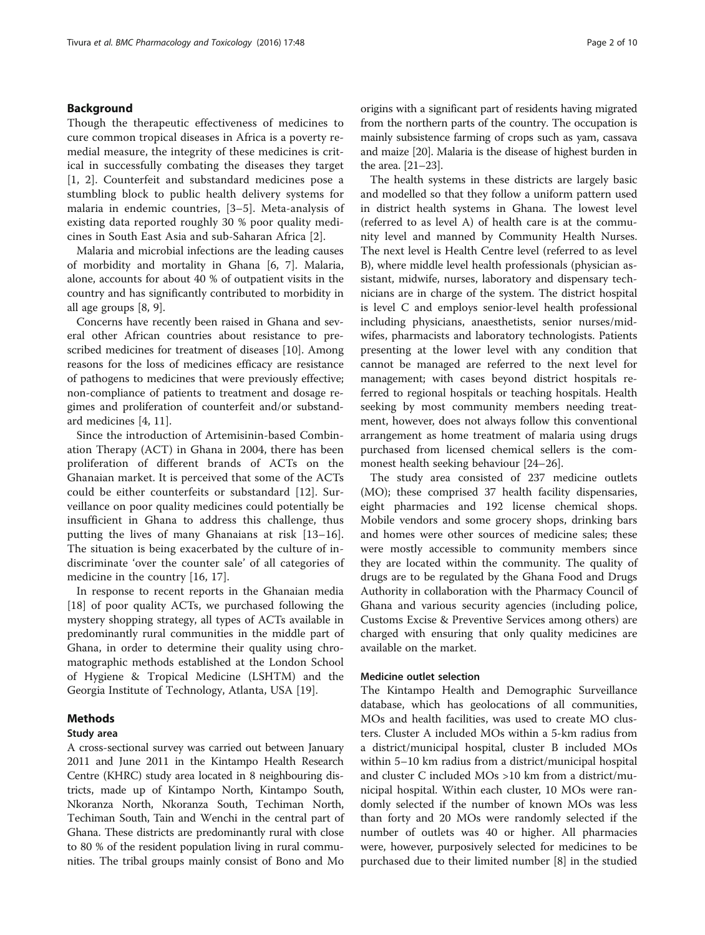## Background

Though the therapeutic effectiveness of medicines to cure common tropical diseases in Africa is a poverty remedial measure, the integrity of these medicines is critical in successfully combating the diseases they target [[1, 2](#page-8-0)]. Counterfeit and substandard medicines pose a stumbling block to public health delivery systems for malaria in endemic countries, [\[3](#page-8-0)–[5](#page-8-0)]. Meta-analysis of existing data reported roughly 30 % poor quality medicines in South East Asia and sub-Saharan Africa [[2\]](#page-8-0).

Malaria and microbial infections are the leading causes of morbidity and mortality in Ghana [[6](#page-8-0), [7](#page-8-0)]. Malaria, alone, accounts for about 40 % of outpatient visits in the country and has significantly contributed to morbidity in all age groups [[8](#page-8-0), [9](#page-8-0)].

Concerns have recently been raised in Ghana and several other African countries about resistance to prescribed medicines for treatment of diseases [[10\]](#page-8-0). Among reasons for the loss of medicines efficacy are resistance of pathogens to medicines that were previously effective; non-compliance of patients to treatment and dosage regimes and proliferation of counterfeit and/or substandard medicines [[4, 11\]](#page-8-0).

Since the introduction of Artemisinin-based Combination Therapy (ACT) in Ghana in 2004, there has been proliferation of different brands of ACTs on the Ghanaian market. It is perceived that some of the ACTs could be either counterfeits or substandard [[12\]](#page-8-0). Surveillance on poor quality medicines could potentially be insufficient in Ghana to address this challenge, thus putting the lives of many Ghanaians at risk [[13](#page-8-0)–[16](#page-8-0)]. The situation is being exacerbated by the culture of indiscriminate 'over the counter sale' of all categories of medicine in the country [\[16](#page-8-0), [17\]](#page-8-0).

In response to recent reports in the Ghanaian media [[18\]](#page-9-0) of poor quality ACTs, we purchased following the mystery shopping strategy, all types of ACTs available in predominantly rural communities in the middle part of Ghana, in order to determine their quality using chromatographic methods established at the London School of Hygiene & Tropical Medicine (LSHTM) and the Georgia Institute of Technology, Atlanta, USA [[19](#page-9-0)].

## Methods

## Study area

A cross-sectional survey was carried out between January 2011 and June 2011 in the Kintampo Health Research Centre (KHRC) study area located in 8 neighbouring districts, made up of Kintampo North, Kintampo South, Nkoranza North, Nkoranza South, Techiman North, Techiman South, Tain and Wenchi in the central part of Ghana. These districts are predominantly rural with close to 80 % of the resident population living in rural communities. The tribal groups mainly consist of Bono and Mo origins with a significant part of residents having migrated from the northern parts of the country. The occupation is mainly subsistence farming of crops such as yam, cassava and maize [\[20](#page-9-0)]. Malaria is the disease of highest burden in the area. [\[21](#page-9-0)–[23](#page-9-0)].

The health systems in these districts are largely basic and modelled so that they follow a uniform pattern used in district health systems in Ghana. The lowest level (referred to as level A) of health care is at the community level and manned by Community Health Nurses. The next level is Health Centre level (referred to as level B), where middle level health professionals (physician assistant, midwife, nurses, laboratory and dispensary technicians are in charge of the system. The district hospital is level C and employs senior-level health professional including physicians, anaesthetists, senior nurses/midwifes, pharmacists and laboratory technologists. Patients presenting at the lower level with any condition that cannot be managed are referred to the next level for management; with cases beyond district hospitals referred to regional hospitals or teaching hospitals. Health seeking by most community members needing treatment, however, does not always follow this conventional arrangement as home treatment of malaria using drugs purchased from licensed chemical sellers is the commonest health seeking behaviour [\[24](#page-9-0)–[26\]](#page-9-0).

The study area consisted of 237 medicine outlets (MO); these comprised 37 health facility dispensaries, eight pharmacies and 192 license chemical shops. Mobile vendors and some grocery shops, drinking bars and homes were other sources of medicine sales; these were mostly accessible to community members since they are located within the community. The quality of drugs are to be regulated by the Ghana Food and Drugs Authority in collaboration with the Pharmacy Council of Ghana and various security agencies (including police, Customs Excise & Preventive Services among others) are charged with ensuring that only quality medicines are available on the market.

## Medicine outlet selection

The Kintampo Health and Demographic Surveillance database, which has geolocations of all communities, MOs and health facilities, was used to create MO clusters. Cluster A included MOs within a 5-km radius from a district/municipal hospital, cluster B included MOs within 5–10 km radius from a district/municipal hospital and cluster C included MOs >10 km from a district/municipal hospital. Within each cluster, 10 MOs were randomly selected if the number of known MOs was less than forty and 20 MOs were randomly selected if the number of outlets was 40 or higher. All pharmacies were, however, purposively selected for medicines to be purchased due to their limited number [[8\]](#page-8-0) in the studied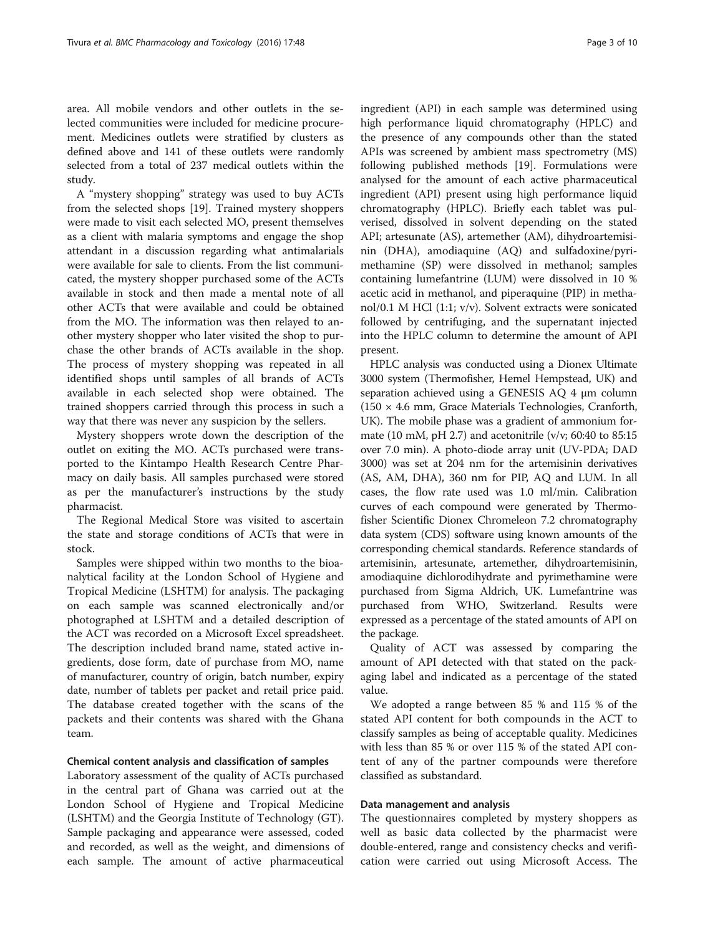area. All mobile vendors and other outlets in the selected communities were included for medicine procurement. Medicines outlets were stratified by clusters as defined above and 141 of these outlets were randomly selected from a total of 237 medical outlets within the study.

A "mystery shopping" strategy was used to buy ACTs from the selected shops [\[19](#page-9-0)]. Trained mystery shoppers were made to visit each selected MO, present themselves as a client with malaria symptoms and engage the shop attendant in a discussion regarding what antimalarials were available for sale to clients. From the list communicated, the mystery shopper purchased some of the ACTs available in stock and then made a mental note of all other ACTs that were available and could be obtained from the MO. The information was then relayed to another mystery shopper who later visited the shop to purchase the other brands of ACTs available in the shop. The process of mystery shopping was repeated in all identified shops until samples of all brands of ACTs available in each selected shop were obtained. The trained shoppers carried through this process in such a way that there was never any suspicion by the sellers.

Mystery shoppers wrote down the description of the outlet on exiting the MO. ACTs purchased were transported to the Kintampo Health Research Centre Pharmacy on daily basis. All samples purchased were stored as per the manufacturer's instructions by the study pharmacist.

The Regional Medical Store was visited to ascertain the state and storage conditions of ACTs that were in stock.

Samples were shipped within two months to the bioanalytical facility at the London School of Hygiene and Tropical Medicine (LSHTM) for analysis. The packaging on each sample was scanned electronically and/or photographed at LSHTM and a detailed description of the ACT was recorded on a Microsoft Excel spreadsheet. The description included brand name, stated active ingredients, dose form, date of purchase from MO, name of manufacturer, country of origin, batch number, expiry date, number of tablets per packet and retail price paid. The database created together with the scans of the packets and their contents was shared with the Ghana team.

## Chemical content analysis and classification of samples

Laboratory assessment of the quality of ACTs purchased in the central part of Ghana was carried out at the London School of Hygiene and Tropical Medicine (LSHTM) and the Georgia Institute of Technology (GT). Sample packaging and appearance were assessed, coded and recorded, as well as the weight, and dimensions of each sample. The amount of active pharmaceutical ingredient (API) in each sample was determined using high performance liquid chromatography (HPLC) and the presence of any compounds other than the stated APIs was screened by ambient mass spectrometry (MS) following published methods [[19\]](#page-9-0). Formulations were analysed for the amount of each active pharmaceutical ingredient (API) present using high performance liquid chromatography (HPLC). Briefly each tablet was pulverised, dissolved in solvent depending on the stated API; artesunate (AS), artemether (AM), dihydroartemisinin (DHA), amodiaquine (AQ) and sulfadoxine/pyrimethamine (SP) were dissolved in methanol; samples containing lumefantrine (LUM) were dissolved in 10 % acetic acid in methanol, and piperaquine (PIP) in methanol/0.1 M HCl (1:1; v/v). Solvent extracts were sonicated followed by centrifuging, and the supernatant injected into the HPLC column to determine the amount of API present.

HPLC analysis was conducted using a Dionex Ultimate 3000 system (Thermofisher, Hemel Hempstead, UK) and separation achieved using a GENESIS AQ 4 μm column (150 × 4.6 mm, Grace Materials Technologies, Cranforth, UK). The mobile phase was a gradient of ammonium formate (10 mM, pH 2.7) and acetonitrile  $(v/v; 60:40$  to 85:15 over 7.0 min). A photo-diode array unit (UV-PDA; DAD 3000) was set at 204 nm for the artemisinin derivatives (AS, AM, DHA), 360 nm for PIP, AQ and LUM. In all cases, the flow rate used was 1.0 ml/min. Calibration curves of each compound were generated by Thermofisher Scientific Dionex Chromeleon 7.2 chromatography data system (CDS) software using known amounts of the corresponding chemical standards. Reference standards of artemisinin, artesunate, artemether, dihydroartemisinin, amodiaquine dichlorodihydrate and pyrimethamine were purchased from Sigma Aldrich, UK. Lumefantrine was purchased from WHO, Switzerland. Results were expressed as a percentage of the stated amounts of API on the package.

Quality of ACT was assessed by comparing the amount of API detected with that stated on the packaging label and indicated as a percentage of the stated value.

We adopted a range between 85 % and 115 % of the stated API content for both compounds in the ACT to classify samples as being of acceptable quality. Medicines with less than 85 % or over 115 % of the stated API content of any of the partner compounds were therefore classified as substandard.

## Data management and analysis

The questionnaires completed by mystery shoppers as well as basic data collected by the pharmacist were double-entered, range and consistency checks and verification were carried out using Microsoft Access. The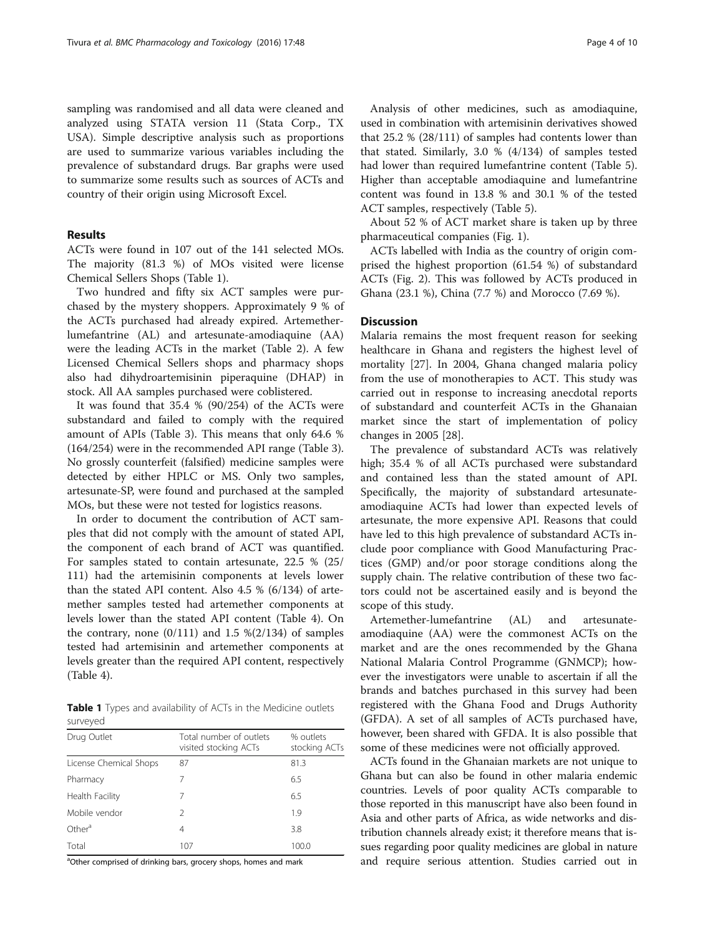sampling was randomised and all data were cleaned and analyzed using STATA version 11 (Stata Corp., TX USA). Simple descriptive analysis such as proportions are used to summarize various variables including the prevalence of substandard drugs. Bar graphs were used to summarize some results such as sources of ACTs and country of their origin using Microsoft Excel.

## Results

ACTs were found in 107 out of the 141 selected MOs. The majority (81.3 %) of MOs visited were license Chemical Sellers Shops (Table 1).

Two hundred and fifty six ACT samples were purchased by the mystery shoppers. Approximately 9 % of the ACTs purchased had already expired. Artemetherlumefantrine (AL) and artesunate-amodiaquine (AA) were the leading ACTs in the market (Table [2\)](#page-4-0). A few Licensed Chemical Sellers shops and pharmacy shops also had dihydroartemisinin piperaquine (DHAP) in stock. All AA samples purchased were coblistered.

It was found that 35.4 % (90/254) of the ACTs were substandard and failed to comply with the required amount of APIs (Table [3](#page-4-0)). This means that only 64.6 % (164/254) were in the recommended API range (Table [3](#page-4-0)). No grossly counterfeit (falsified) medicine samples were detected by either HPLC or MS. Only two samples, artesunate-SP, were found and purchased at the sampled MOs, but these were not tested for logistics reasons.

In order to document the contribution of ACT samples that did not comply with the amount of stated API, the component of each brand of ACT was quantified. For samples stated to contain artesunate, 22.5 % (25/ 111) had the artemisinin components at levels lower than the stated API content. Also 4.5 % (6/134) of artemether samples tested had artemether components at levels lower than the stated API content (Table [4\)](#page-5-0). On the contrary, none  $(0/111)$  and 1.5 % $(2/134)$  of samples tested had artemisinin and artemether components at levels greater than the required API content, respectively (Table [4\)](#page-5-0).

Table 1 Types and availability of ACTs in the Medicine outlets surveyed

| Drug Outlet            | Total number of outlets<br>visited stocking ACTs | % outlets<br>stocking ACTs |  |
|------------------------|--------------------------------------------------|----------------------------|--|
| License Chemical Shops | 87                                               | 81.3                       |  |
| Pharmacy               |                                                  | 6.5                        |  |
| Health Facility        | 7                                                | 6.5                        |  |
| Mobile vendor          | 2                                                | 1.9                        |  |
| Other <sup>a</sup>     | 4                                                | 3.8                        |  |
| Total                  | 107                                              | 100.0                      |  |

<sup>a</sup>Other comprised of drinking bars, grocery shops, homes and mark

Analysis of other medicines, such as amodiaquine, used in combination with artemisinin derivatives showed that 25.2 % (28/111) of samples had contents lower than that stated. Similarly, 3.0 % (4/134) of samples tested had lower than required lumefantrine content (Table [5](#page-5-0)). Higher than acceptable amodiaquine and lumefantrine content was found in 13.8 % and 30.1 % of the tested ACT samples, respectively (Table [5](#page-5-0)).

About 52 % of ACT market share is taken up by three pharmaceutical companies (Fig. [1\)](#page-6-0).

ACTs labelled with India as the country of origin comprised the highest proportion (61.54 %) of substandard ACTs (Fig. [2](#page-6-0)). This was followed by ACTs produced in Ghana (23.1 %), China (7.7 %) and Morocco (7.69 %).

## **Discussion**

Malaria remains the most frequent reason for seeking healthcare in Ghana and registers the highest level of mortality [[27\]](#page-9-0). In 2004, Ghana changed malaria policy from the use of monotherapies to ACT. This study was carried out in response to increasing anecdotal reports of substandard and counterfeit ACTs in the Ghanaian market since the start of implementation of policy changes in 2005 [[28\]](#page-9-0).

The prevalence of substandard ACTs was relatively high; 35.4 % of all ACTs purchased were substandard and contained less than the stated amount of API. Specifically, the majority of substandard artesunateamodiaquine ACTs had lower than expected levels of artesunate, the more expensive API. Reasons that could have led to this high prevalence of substandard ACTs include poor compliance with Good Manufacturing Practices (GMP) and/or poor storage conditions along the supply chain. The relative contribution of these two factors could not be ascertained easily and is beyond the scope of this study.

Artemether-lumefantrine (AL) and artesunateamodiaquine (AA) were the commonest ACTs on the market and are the ones recommended by the Ghana National Malaria Control Programme (GNMCP); however the investigators were unable to ascertain if all the brands and batches purchased in this survey had been registered with the Ghana Food and Drugs Authority (GFDA). A set of all samples of ACTs purchased have, however, been shared with GFDA. It is also possible that some of these medicines were not officially approved.

ACTs found in the Ghanaian markets are not unique to Ghana but can also be found in other malaria endemic countries. Levels of poor quality ACTs comparable to those reported in this manuscript have also been found in Asia and other parts of Africa, as wide networks and distribution channels already exist; it therefore means that issues regarding poor quality medicines are global in nature and require serious attention. Studies carried out in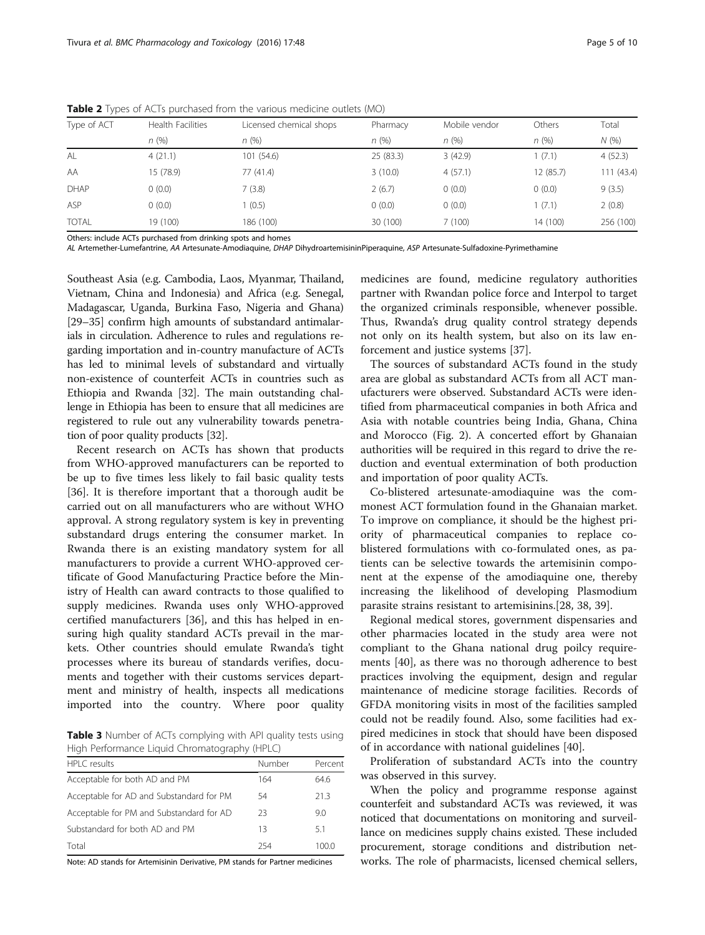| Type of ACT  | Health Facilities | Licensed chemical shops | Pharmacy  | Mobile vendor | Others    | Total      |
|--------------|-------------------|-------------------------|-----------|---------------|-----------|------------|
|              | n(%)              | n(%)                    | n(%)      | n(%)          | n(%)      | N(%)       |
| AL           | 4(21.1)           | 101(54.6)               | 25 (83.3) | 3(42.9)       | 1(7.1)    | 4(52.3)    |
| AA           | 15 (78.9)         | 77(41.4)                | 3(10.0)   | 4(57.1)       | 12 (85.7) | 111 (43.4) |
| <b>DHAP</b>  | (0.0)             | 7(3.8)                  | 2(6.7)    | 0(0.0)        | 0(0.0)    | 9(3.5)     |
| <b>ASP</b>   | (0.0)             | 1(0.5)                  | 0(0.0)    | 0(0.0)        | 1(7.1)    | 2(0.8)     |
| <b>TOTAL</b> | 19 (100)          | 186 (100)               | 30 (100)  | 7 (100)       | 14 (100)  | 256 (100)  |

<span id="page-4-0"></span>Table 2 Types of ACTs purchased from the various medicine outlets (MO)

Others: include ACTs purchased from drinking spots and homes

AL Artemether-Lumefantrine, AA Artesunate-Amodiaquine, DHAP DihydroartemisininPiperaquine, ASP Artesunate-Sulfadoxine-Pyrimethamine

Southeast Asia (e.g. Cambodia, Laos, Myanmar, Thailand, Vietnam, China and Indonesia) and Africa (e.g. Senegal, Madagascar, Uganda, Burkina Faso, Nigeria and Ghana) [[29](#page-9-0)–[35\]](#page-9-0) confirm high amounts of substandard antimalarials in circulation. Adherence to rules and regulations regarding importation and in-country manufacture of ACTs has led to minimal levels of substandard and virtually non-existence of counterfeit ACTs in countries such as Ethiopia and Rwanda [[32](#page-9-0)]. The main outstanding challenge in Ethiopia has been to ensure that all medicines are registered to rule out any vulnerability towards penetration of poor quality products [\[32](#page-9-0)].

Recent research on ACTs has shown that products from WHO-approved manufacturers can be reported to be up to five times less likely to fail basic quality tests [[36\]](#page-9-0). It is therefore important that a thorough audit be carried out on all manufacturers who are without WHO approval. A strong regulatory system is key in preventing substandard drugs entering the consumer market. In Rwanda there is an existing mandatory system for all manufacturers to provide a current WHO-approved certificate of Good Manufacturing Practice before the Ministry of Health can award contracts to those qualified to supply medicines. Rwanda uses only WHO-approved certified manufacturers [[36\]](#page-9-0), and this has helped in ensuring high quality standard ACTs prevail in the markets. Other countries should emulate Rwanda's tight processes where its bureau of standards verifies, documents and together with their customs services department and ministry of health, inspects all medications imported into the country. Where poor quality

Table 3 Number of ACTs complying with API quality tests using High Performance Liquid Chromatography (HPLC)

| <b>HPLC</b> results                      | Number | Percent |
|------------------------------------------|--------|---------|
| Acceptable for both AD and PM            | 164    | 64.6    |
| Acceptable for AD and Substandard for PM | 54     | 21.3    |
| Acceptable for PM and Substandard for AD | 23     | 9.0     |
| Substandard for both AD and PM           | 13     | 51      |
| Total                                    | 254    | 100.0   |
|                                          |        |         |

Note: AD stands for Artemisinin Derivative, PM stands for Partner medicines

medicines are found, medicine regulatory authorities partner with Rwandan police force and Interpol to target the organized criminals responsible, whenever possible. Thus, Rwanda's drug quality control strategy depends not only on its health system, but also on its law enforcement and justice systems [[37\]](#page-9-0).

The sources of substandard ACTs found in the study area are global as substandard ACTs from all ACT manufacturers were observed. Substandard ACTs were identified from pharmaceutical companies in both Africa and Asia with notable countries being India, Ghana, China and Morocco (Fig. [2\)](#page-6-0). A concerted effort by Ghanaian authorities will be required in this regard to drive the reduction and eventual extermination of both production and importation of poor quality ACTs.

Co-blistered artesunate-amodiaquine was the commonest ACT formulation found in the Ghanaian market. To improve on compliance, it should be the highest priority of pharmaceutical companies to replace coblistered formulations with co-formulated ones, as patients can be selective towards the artemisinin component at the expense of the amodiaquine one, thereby increasing the likelihood of developing Plasmodium parasite strains resistant to artemisinins.[[28, 38, 39](#page-9-0)].

Regional medical stores, government dispensaries and other pharmacies located in the study area were not compliant to the Ghana national drug poilcy requirements [\[40](#page-9-0)], as there was no thorough adherence to best practices involving the equipment, design and regular maintenance of medicine storage facilities. Records of GFDA monitoring visits in most of the facilities sampled could not be readily found. Also, some facilities had expired medicines in stock that should have been disposed of in accordance with national guidelines [\[40\]](#page-9-0).

Proliferation of substandard ACTs into the country was observed in this survey.

When the policy and programme response against counterfeit and substandard ACTs was reviewed, it was noticed that documentations on monitoring and surveillance on medicines supply chains existed. These included procurement, storage conditions and distribution networks. The role of pharmacists, licensed chemical sellers,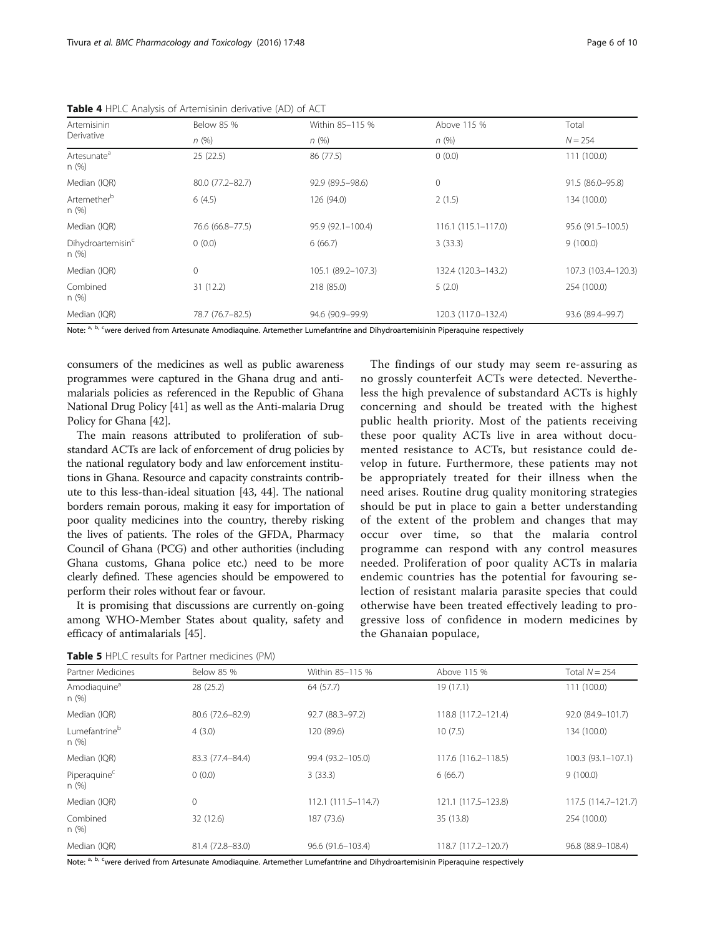| Artemisinin<br>Derivative             | Below 85 %       | Within 85-115 %    | Above 115 %         | Total               |  |
|---------------------------------------|------------------|--------------------|---------------------|---------------------|--|
|                                       | n(%)             | n(%)               | n(%)                | $N = 254$           |  |
| Artesunate <sup>a</sup><br>n(%)       | 25(22.5)         | 86 (77.5)          | 0(0.0)              | 111 (100.0)         |  |
| Median (IQR)                          | 80.0 (77.2-82.7) | 92.9 (89.5-98.6)   | $\mathbf 0$         | 91.5 (86.0-95.8)    |  |
| Artemether <sup>b</sup><br>n(%)       | 6(4.5)           | 126 (94.0)         | 2(1.5)              | 134 (100.0)         |  |
| Median (IQR)                          | 76.6 (66.8-77.5) | 95.9 (92.1-100.4)  | 116.1 (115.1-117.0) | 95.6 (91.5-100.5)   |  |
| Dihydroartemisin <sup>c</sup><br>n(%) | 0(0.0)           | 6(66.7)            | 3(33.3)             | 9(100.0)            |  |
| Median (IQR)                          | 0                | 105.1 (89.2-107.3) | 132.4 (120.3-143.2) | 107.3 (103.4-120.3) |  |
| Combined<br>n(%)                      | 31 (12.2)        | 218 (85.0)         | 5(2.0)              | 254 (100.0)         |  |
| Median (IQR)                          | 78.7 (76.7-82.5) | 94.6 (90.9-99.9)   | 120.3 (117.0-132.4) | 93.6 (89.4-99.7)    |  |

<span id="page-5-0"></span>Table 4 HPLC Analysis of Artemisinin derivative (AD) of ACT

Note: a, b, Cwere derived from Artesunate Amodiaquine. Artemether Lumefantrine and Dihydroartemisinin Piperaquine respectively

consumers of the medicines as well as public awareness programmes were captured in the Ghana drug and antimalarials policies as referenced in the Republic of Ghana National Drug Policy [\[41\]](#page-9-0) as well as the Anti-malaria Drug Policy for Ghana [\[42\]](#page-9-0).

The main reasons attributed to proliferation of substandard ACTs are lack of enforcement of drug policies by the national regulatory body and law enforcement institutions in Ghana. Resource and capacity constraints contribute to this less-than-ideal situation [\[43, 44](#page-9-0)]. The national borders remain porous, making it easy for importation of poor quality medicines into the country, thereby risking the lives of patients. The roles of the GFDA, Pharmacy Council of Ghana (PCG) and other authorities (including Ghana customs, Ghana police etc.) need to be more clearly defined. These agencies should be empowered to perform their roles without fear or favour.

It is promising that discussions are currently on-going among WHO-Member States about quality, safety and efficacy of antimalarials [[45\]](#page-9-0).

The findings of our study may seem re-assuring as no grossly counterfeit ACTs were detected. Nevertheless the high prevalence of substandard ACTs is highly concerning and should be treated with the highest public health priority. Most of the patients receiving these poor quality ACTs live in area without documented resistance to ACTs, but resistance could develop in future. Furthermore, these patients may not be appropriately treated for their illness when the need arises. Routine drug quality monitoring strategies should be put in place to gain a better understanding of the extent of the problem and changes that may occur over time, so that the malaria control programme can respond with any control measures needed. Proliferation of poor quality ACTs in malaria endemic countries has the potential for favouring selection of resistant malaria parasite species that could otherwise have been treated effectively leading to progressive loss of confidence in modern medicines by the Ghanaian populace,

| <b>Table 5</b> Fired results for Partner integratives (PIVI) |                     |                     |                     |  |
|--------------------------------------------------------------|---------------------|---------------------|---------------------|--|
| Below 85 %                                                   | Within 85-115 %     | Above 115 %         | Total $N = 254$     |  |
| 28 (25.2)                                                    | 64 (57.7)           | 19(17.1)            | 111(100.0)          |  |
| 80.6 (72.6-82.9)                                             | 92.7 (88.3-97.2)    | 118.8 (117.2-121.4) | 92.0 (84.9-101.7)   |  |
| 4(3.0)                                                       | 120 (89.6)          | 10(7.5)             | 134 (100.0)         |  |
| 83.3 (77.4-84.4)                                             | 99.4 (93.2-105.0)   | 117.6 (116.2-118.5) | $100.3(93.1-107.1)$ |  |
| 0(0.0)                                                       | 3(33.3)             | 6(66.7)             | 9(100.0)            |  |
| $\mathbf 0$                                                  | 112.1 (111.5-114.7) | 121.1 (117.5-123.8) | 117.5 (114.7-121.7) |  |
| 32 (12.6)                                                    | 187 (73.6)          | 35 (13.8)           | 254 (100.0)         |  |
| 81.4 (72.8-83.0)                                             | 96.6 (91.6-103.4)   | 118.7 (117.2-120.7) | 96.8 (88.9-108.4)   |  |
|                                                              |                     |                     |                     |  |

Table 5 HPLC results for Partner medicines (PM)

Note: a, b, cwere derived from Artesunate Amodiaquine. Artemether Lumefantrine and Dihydroartemisinin Piperaquine respectively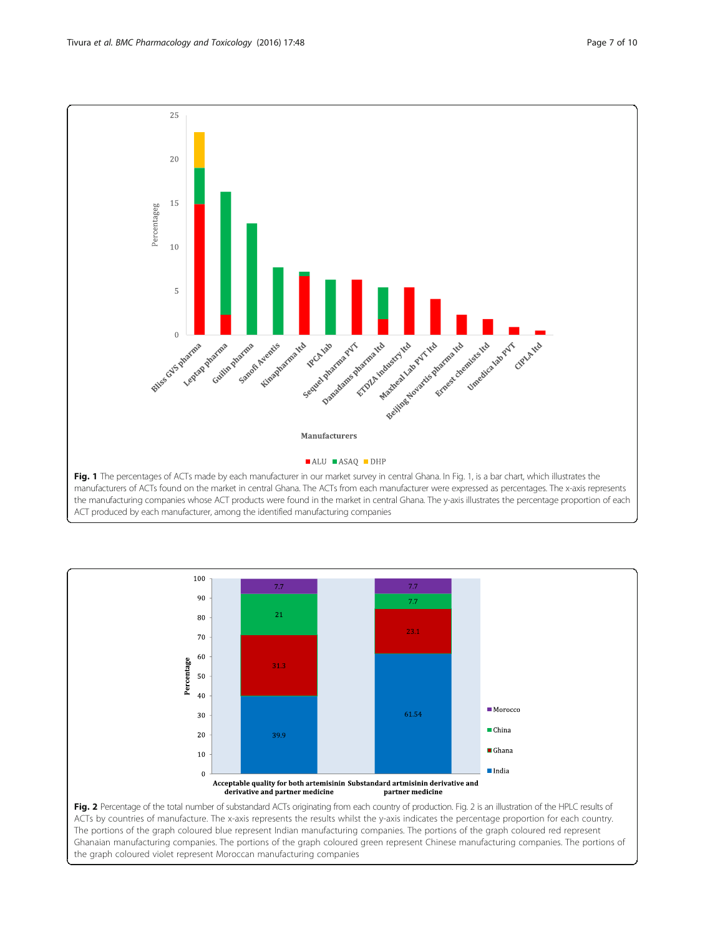<span id="page-6-0"></span>



ACTs by countries of manufacture. The x-axis represents the results whilst the y-axis indicates the percentage proportion for each country. The portions of the graph coloured blue represent Indian manufacturing companies. The portions of the graph coloured red represent Ghanaian manufacturing companies. The portions of the graph coloured green represent Chinese manufacturing companies. The portions of the graph coloured violet represent Moroccan manufacturing companies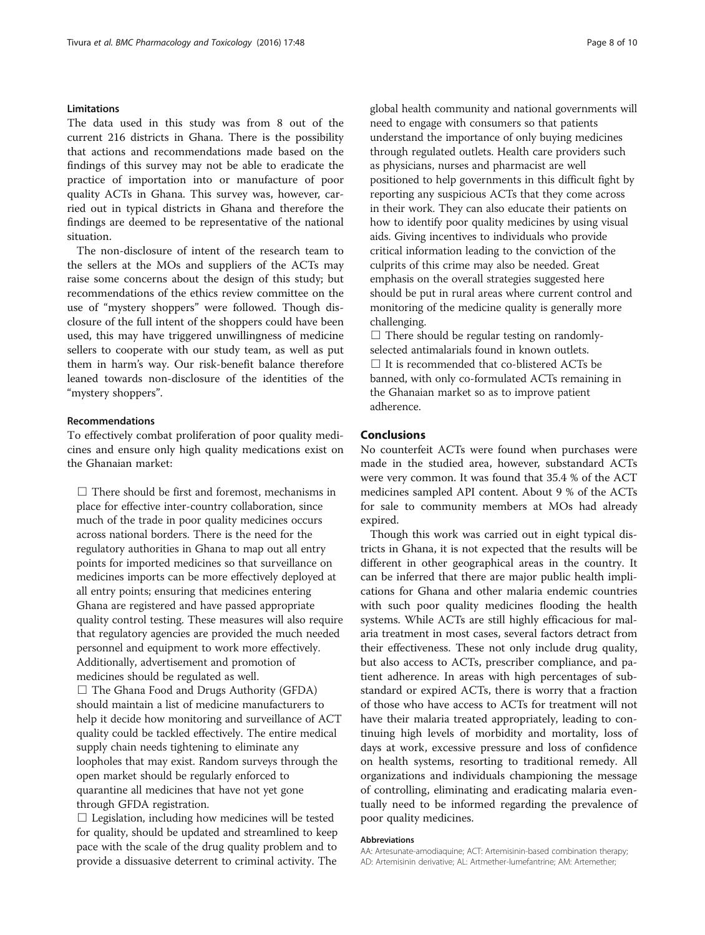## Limitations

The data used in this study was from 8 out of the current 216 districts in Ghana. There is the possibility that actions and recommendations made based on the findings of this survey may not be able to eradicate the practice of importation into or manufacture of poor quality ACTs in Ghana. This survey was, however, carried out in typical districts in Ghana and therefore the findings are deemed to be representative of the national situation.

The non-disclosure of intent of the research team to the sellers at the MOs and suppliers of the ACTs may raise some concerns about the design of this study; but recommendations of the ethics review committee on the use of "mystery shoppers" were followed. Though disclosure of the full intent of the shoppers could have been used, this may have triggered unwillingness of medicine sellers to cooperate with our study team, as well as put them in harm's way. Our risk-benefit balance therefore leaned towards non-disclosure of the identities of the "mystery shoppers".

## Recommendations

To effectively combat proliferation of poor quality medicines and ensure only high quality medications exist on the Ghanaian market:

 $\square$  There should be first and foremost, mechanisms in place for effective inter-country collaboration, since much of the trade in poor quality medicines occurs across national borders. There is the need for the regulatory authorities in Ghana to map out all entry points for imported medicines so that surveillance on medicines imports can be more effectively deployed at all entry points; ensuring that medicines entering Ghana are registered and have passed appropriate quality control testing. These measures will also require that regulatory agencies are provided the much needed personnel and equipment to work more effectively. Additionally, advertisement and promotion of medicines should be regulated as well.  $\square$  The Ghana Food and Drugs Authority (GFDA) should maintain a list of medicine manufacturers to help it decide how monitoring and surveillance of ACT quality could be tackled effectively. The entire medical supply chain needs tightening to eliminate any loopholes that may exist. Random surveys through the open market should be regularly enforced to quarantine all medicines that have not yet gone through GFDA registration.

 $\Box$  Legislation, including how medicines will be tested for quality, should be updated and streamlined to keep pace with the scale of the drug quality problem and to provide a dissuasive deterrent to criminal activity. The

global health community and national governments will need to engage with consumers so that patients understand the importance of only buying medicines through regulated outlets. Health care providers such as physicians, nurses and pharmacist are well positioned to help governments in this difficult fight by reporting any suspicious ACTs that they come across in their work. They can also educate their patients on how to identify poor quality medicines by using visual aids. Giving incentives to individuals who provide critical information leading to the conviction of the culprits of this crime may also be needed. Great emphasis on the overall strategies suggested here should be put in rural areas where current control and monitoring of the medicine quality is generally more challenging.

 $\square$  There should be regular testing on randomlyselected antimalarials found in known outlets.  $\square$  It is recommended that co-blistered ACTs be banned, with only co-formulated ACTs remaining in the Ghanaian market so as to improve patient adherence.

## Conclusions

No counterfeit ACTs were found when purchases were made in the studied area, however, substandard ACTs were very common. It was found that 35.4 % of the ACT medicines sampled API content. About 9 % of the ACTs for sale to community members at MOs had already expired.

Though this work was carried out in eight typical districts in Ghana, it is not expected that the results will be different in other geographical areas in the country. It can be inferred that there are major public health implications for Ghana and other malaria endemic countries with such poor quality medicines flooding the health systems. While ACTs are still highly efficacious for malaria treatment in most cases, several factors detract from their effectiveness. These not only include drug quality, but also access to ACTs, prescriber compliance, and patient adherence. In areas with high percentages of substandard or expired ACTs, there is worry that a fraction of those who have access to ACTs for treatment will not have their malaria treated appropriately, leading to continuing high levels of morbidity and mortality, loss of days at work, excessive pressure and loss of confidence on health systems, resorting to traditional remedy. All organizations and individuals championing the message of controlling, eliminating and eradicating malaria eventually need to be informed regarding the prevalence of poor quality medicines.

#### Abbreviations

AA: Artesunate-amodiaquine; ACT: Artemisinin-based combination therapy; AD: Artemisinin derivative; AL: Artmether-lumefantrine; AM: Artemether;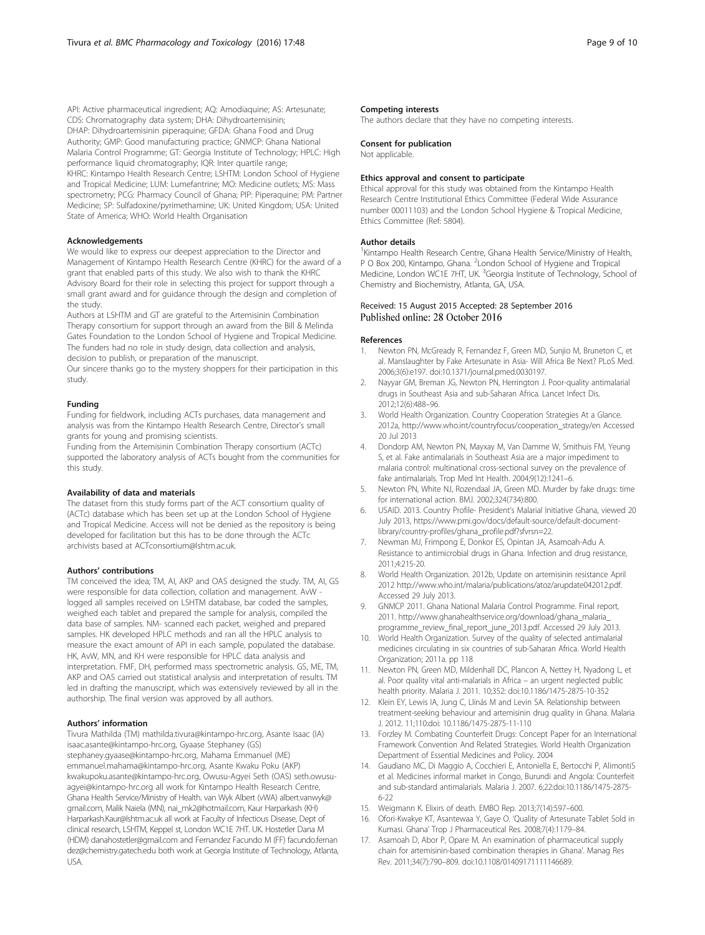<span id="page-8-0"></span>API: Active pharmaceutical ingredient; AQ: Amodiaquine; AS: Artesunate; CDS: Chromatography data system; DHA: Dihydroartemisinin; DHAP: Dihydroartemisinin piperaquine; GFDA: Ghana Food and Drug Authority; GMP: Good manufacturing practice; GNMCP: Ghana National Malaria Control Programme; GT: Georgia Institute of Technology; HPLC: High performance liquid chromatography; IQR: Inter quartile range; KHRC: Kintampo Health Research Centre; LSHTM: London School of Hygiene and Tropical Medicine; LUM: Lumefantrine; MO: Medicine outlets; MS: Mass spectrometry; PCG: Pharmacy Council of Ghana; PIP: Piperaquine; PM: Partner Medicine; SP: Sulfadoxine/pyrimethamine; UK: United Kingdom; USA: United State of America; WHO: World Health Organisation

#### Acknowledgements

We would like to express our deepest appreciation to the Director and Management of Kintampo Health Research Centre (KHRC) for the award of a grant that enabled parts of this study. We also wish to thank the KHRC Advisory Board for their role in selecting this project for support through a small grant award and for guidance through the design and completion of the study.

Authors at LSHTM and GT are grateful to the Artemisinin Combination Therapy consortium for support through an award from the Bill & Melinda Gates Foundation to the London School of Hygiene and Tropical Medicine. The funders had no role in study design, data collection and analysis, decision to publish, or preparation of the manuscript.

Our sincere thanks go to the mystery shoppers for their participation in this study.

#### Funding

Funding for fieldwork, including ACTs purchases, data management and analysis was from the Kintampo Health Research Centre, Director's small grants for young and promising scientists.

Funding from the Artemisinin Combination Therapy consortium (ACTc) supported the laboratory analysis of ACTs bought from the communities for this study.

#### Availability of data and materials

The dataset from this study forms part of the ACT consortium quality of (ACTc) database which has been set up at the London School of Hygiene and Tropical Medicine. Access will not be denied as the repository is being developed for facilitation but this has to be done through the ACTc archivists based at ACTconsortium@lshtm.ac.uk.

#### Authors' contributions

TM conceived the idea; TM, AI, AKP and OAS designed the study. TM, AI, GS were responsible for data collection, collation and management. AvW logged all samples received on LSHTM database, bar coded the samples, weighed each tablet and prepared the sample for analysis, compiled the data base of samples. NM- scanned each packet, weighed and prepared samples. HK developed HPLC methods and ran all the HPLC analysis to measure the exact amount of API in each sample, populated the database. HK, AvW, MN, and KH were responsible for HPLC data analysis and interpretation. FMF, DH, performed mass spectrometric analysis. GS, ME, TM, AKP and OAS carried out statistical analysis and interpretation of results. TM led in drafting the manuscript, which was extensively reviewed by all in the authorship. The final version was approved by all authors.

## Authors' information

Tivura Mathilda (TM) mathilda.tivura@kintampo-hrc.org, Asante Isaac (IA) isaac.asante@kintampo-hrc.org, Gyaase Stephaney (GS) stephaney.gyaase@kintampo-hrc.org, Mahama Emmanuel (ME) emmanuel.mahama@kintampo-hrc.org, Asante Kwaku Poku (AKP) kwakupoku.asante@kintampo-hrc.org, Owusu-Agyei Seth (OAS) seth.owusuagyei@kintampo-hrc.org all work for Kintampo Health Research Centre, Ghana Health Service/Ministry of Health. van Wyk Albert (vWA) albert.vanwyk@ gmail.com, Malik Naiela (MN), nai\_mk2@hotmail.com, Kaur Harparkash (KH) Harparkash.Kaur@lshtm.ac.uk all work at Faculty of Infectious Disease, Dept of clinical research, LSHTM, Keppel st, London WC1E 7HT. UK. Hostetler Dana M (HDM) danahostetler@gmail.com and Fernandez Facundo M (FF) facundo.fernan dez@chemistry.gatech.edu both work at Georgia Institute of Technology, Atlanta, USA.

## Competing interests

The authors declare that they have no competing interests.

#### Consent for publication

Not applicable.

#### Ethics approval and consent to participate

Ethical approval for this study was obtained from the Kintampo Health Research Centre Institutional Ethics Committee (Federal Wide Assurance number 00011103) and the London School Hygiene & Tropical Medicine, Ethics Committee (Ref: 5804).

#### Author details

<sup>1</sup> Kintampo Health Research Centre, Ghana Health Service/Ministry of Health P O Box 200, Kintampo, Ghana. <sup>2</sup> London School of Hygiene and Tropical Medicine, London WC1E 7HT, UK. <sup>3</sup>Georgia Institute of Technology, School of Chemistry and Biochemistry, Atlanta, GA, USA.

## Received: 15 August 2015 Accepted: 28 September 2016 Published online: 28 October 2016

#### References

- 1. Newton PN, McGready R, Fernandez F, Green MD, Sunjio M, Bruneton C, et al. Manslaughter by Fake Artesunate in Asia- Will Africa Be Next? PLoS Med. 2006;3(6):e197. doi:[10.1371/journal.pmed.0030197](http://dx.doi.org/10.1371/journal.pmed.0030197).
- 2. Nayyar GM, Breman JG, Newton PN, Herrington J. Poor-quality antimalarial drugs in Southeast Asia and sub-Saharan Africa. Lancet Infect Dis. 2012;12(6):488–96.
- 3. World Health Organization. Country Cooperation Strategies At a Glance. 2012a, [http://www.who.int/countryfocus/cooperation\\_strategy/en](http://www.who.int/countryfocus/cooperation_strategy/en) Accessed 20 Jul 2013
- 4. Dondorp AM, Newton PN, Mayxay M, Van Damme W, Smithuis FM, Yeung S, et al. Fake antimalarials in Southeast Asia are a major impediment to malaria control: multinational cross-sectional survey on the prevalence of fake antimalarials. Trop Med Int Health. 2004;9(12):1241–6.
- 5. Newton PN, White NJ, Rozendaal JA, Green MD. Murder by fake drugs: time for international action. BMJ. 2002;324(734):800.
- 6. USAID. 2013. Country Profile- President's Malarial Initiative Ghana, viewed 20 July 2013, [https://www.pmi.gov/docs/default-source/default-document](https://www.pmi.gov/docs/default-source/default-document-library/country-profiles/ghana_profile.pdf?sfvrsn=22)[library/country-profiles/ghana\\_profile.pdf?sfvrsn=22](https://www.pmi.gov/docs/default-source/default-document-library/country-profiles/ghana_profile.pdf?sfvrsn=22).
- 7. Newman MJ, Frimpong E, Donkor ES, Opintan JA, Asamoah-Adu A. Resistance to antimicrobial drugs in Ghana. Infection and drug resistance, 2011;4:215-20.
- 8. World Health Organization. 2012b, Update on artemisinin resistance April 2012 [http://www.who.int/malaria/publications/atoz/arupdate042012.pdf.](http://www.who.int/malaria/publications/atoz/arupdate042012.pdf) Accessed 29 July 2013.
- 9. GNMCP 2011. Ghana National Malaria Control Programme. Final report, 2011. [http://www.ghanahealthservice.org/download/ghana\\_malaria\\_](http://www.ghanahealthservice.org/download/ghana_malaria_programme_review_final_report_june_2013.pdf) [programme\\_review\\_final\\_report\\_june\\_2013.pdf.](http://www.ghanahealthservice.org/download/ghana_malaria_programme_review_final_report_june_2013.pdf) Accessed 29 July 2013.
- 10. World Health Organization. Survey of the quality of selected antimalarial medicines circulating in six countries of sub-Saharan Africa. World Health Organization; 2011a. pp 118
- 11. Newton PN, Green MD, Mildenhall DC, Plancon A, Nettey H, Nyadong L, et al. Poor quality vital anti-malarials in Africa – an urgent neglected public health priority. Malaria J. 2011. 10;352: doi:[10.1186/1475-2875-10-352](http://dx.doi.org/10.1186/1475-2875-10-352)
- 12. Klein EY, Lewis IA, Jung C, Llinás M and Levin SA. Relationship between treatment-seeking behaviour and artemisinin drug quality in Ghana. Malaria J. 2012. 11;110:doi: [10.1186/1475-2875-11-110](http://dx.doi.org/10.1186/1475-2875-11-110)
- 13. Forzley M. Combating Counterfeit Drugs: Concept Paper for an International Framework Convention And Related Strategies. World Health Organization Department of Essential Medicines and Policy. 2004
- 14. Gaudiano MC, Di Maggio A, Cocchieri E, Antoniella E, Bertocchi P, AlimontiS et al. Medicines informal market in Congo, Burundi and Angola: Counterfeit and sub-standard antimalarials. Malaria J. 2007. 6;22:doi[:10.1186/1475-2875-](http://dx.doi.org/10.1186/1475-2875-6-22) [6-22](http://dx.doi.org/10.1186/1475-2875-6-22)
- 15. Weigmann K. Elixirs of death. EMBO Rep. 2013;7(14):597–600.
- 16. Ofori-Kwakye KT, Asantewaa Y, Gaye O. 'Quality of Artesunate Tablet Sold in Kumasi. Ghana' Trop J Pharmaceutical Res. 2008;7(4):1179–84.
- 17. Asamoah D, Abor P, Opare M. An examination of pharmaceutical supply chain for artemisinin-based combination therapies in Ghana'. Manag Res Rev. 2011;34(7):790–809. doi:[10.1108/01409171111146689](http://dx.doi.org/10.1108/01409171111146689).